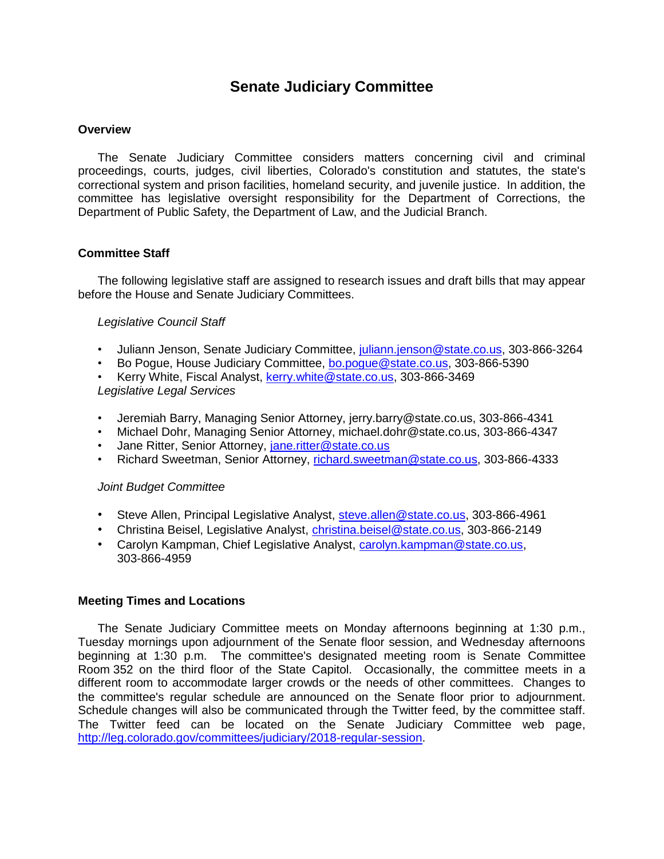# **Senate Judiciary Committee**

#### **Overview**

The Senate Judiciary Committee considers matters concerning civil and criminal proceedings, courts, judges, civil liberties, Colorado's constitution and statutes, the state's correctional system and prison facilities, homeland security, and juvenile justice. In addition, the committee has legislative oversight responsibility for the Department of Corrections, the Department of Public Safety, the Department of Law, and the Judicial Branch.

#### **Committee Staff**

The following legislative staff are assigned to research issues and draft bills that may appear before the House and Senate Judiciary Committees.

#### *Legislative Council Staff*

- Juliann Jenson, Senate Judiciary Committee, [juliann.jenson@state.co.us,](mailto:juliann.jenson@state.co.us) 303-866-3264
- Bo Pogue, House Judiciary Committee, [bo.pogue@state.co.us,](mailto:bo.pogue@state.co.us) 303-866-5390
- Kerry White, Fiscal Analyst, [kerry.white@state.co.us,](mailto:kerry.white@state.co.us) 303-866-3469

*Legislative Legal Services*

- Jeremiah Barry, Managing Senior Attorney, jerry.barry@state.co.us, 303-866-4341
- Michael Dohr, Managing Senior Attorney, michael.dohr@state.co.us, 303-866-4347
- Jane Ritter, Senior Attorney, [jane.ritter@state.co.us](mailto:jane.ritter@state.co.us)
- Richard Sweetman, Senior Attorney, [richard.sweetman@state.co.us,](mailto:richard.sweetman@state.co.us) 303-866-4333

# *Joint Budget Committee*

- Steve Allen, Principal Legislative Analyst, [steve.allen@state.co.us,](mailto:steve.allen@state.co.us) 303-866-4961
- Christina Beisel, Legislative Analyst, [christina.beisel@state.co.us,](mailto:christina.beisel@state.co.us) 303-866-2149
- Carolyn Kampman, Chief Legislative Analyst, [carolyn.kampman@state.co.us,](mailto:carolyn.kampman@state.co.us) 303-866-4959

#### **Meeting Times and Locations**

The Senate Judiciary Committee meets on Monday afternoons beginning at 1:30 p.m., Tuesday mornings upon adjournment of the Senate floor session, and Wednesday afternoons beginning at 1:30 p.m. The committee's designated meeting room is Senate Committee Room 352 on the third floor of the State Capitol. Occasionally, the committee meets in a different room to accommodate larger crowds or the needs of other committees. Changes to the committee's regular schedule are announced on the Senate floor prior to adjournment. Schedule changes will also be communicated through the Twitter feed, by the committee staff. The Twitter feed can be located on the Senate Judiciary Committee web page, [http://leg.colorado.gov/committees/judiciary/2018-regular-session.](http://leg.colorado.gov/committees/judiciary/2018-regular-session)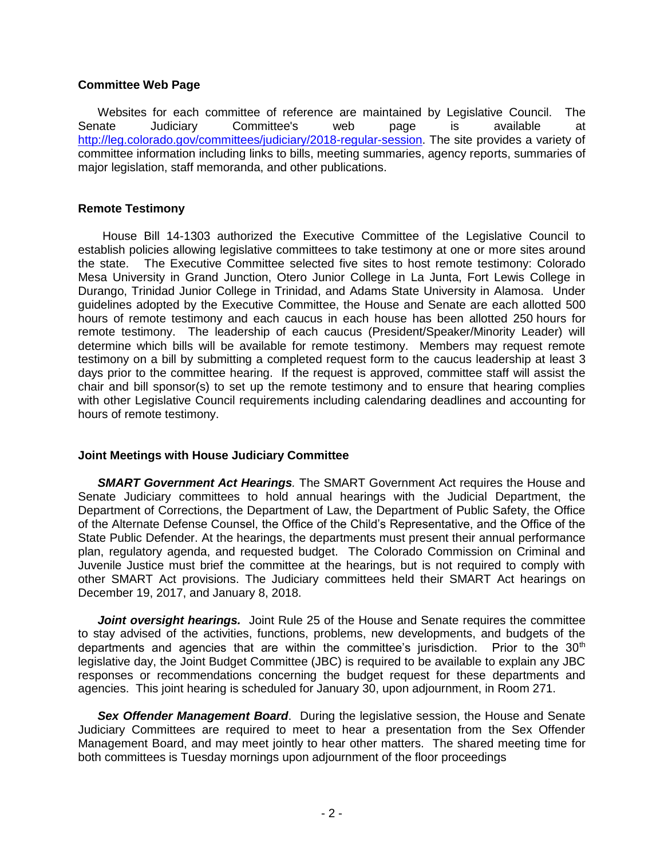#### **Committee Web Page**

Websites for each committee of reference are maintained by Legislative Council. The Senate Judiciary Committee's web page is available at [http://leg.colorado.gov/committees/judiciary/2018-regular-session.](http://leg.colorado.gov/committees/judiciary/2018-regular-session) The site provides a variety of committee information including links to bills, meeting summaries, agency reports, summaries of major legislation, staff memoranda, and other publications.

### **Remote Testimony**

House Bill 14-1303 authorized the Executive Committee of the Legislative Council to establish policies allowing legislative committees to take testimony at one or more sites around the state. The Executive Committee selected five sites to host remote testimony: Colorado Mesa University in Grand Junction, Otero Junior College in La Junta, Fort Lewis College in Durango, Trinidad Junior College in Trinidad, and Adams State University in Alamosa. Under guidelines adopted by the Executive Committee, the House and Senate are each allotted 500 hours of remote testimony and each caucus in each house has been allotted 250 hours for remote testimony. The leadership of each caucus (President/Speaker/Minority Leader) will determine which bills will be available for remote testimony. Members may request remote testimony on a bill by submitting a completed request form to the caucus leadership at least 3 days prior to the committee hearing. If the request is approved, committee staff will assist the chair and bill sponsor(s) to set up the remote testimony and to ensure that hearing complies with other Legislative Council requirements including calendaring deadlines and accounting for hours of remote testimony.

# **Joint Meetings with House Judiciary Committee**

*SMART Government Act Hearings.* The SMART Government Act requires the House and Senate Judiciary committees to hold annual hearings with the Judicial Department, the Department of Corrections, the Department of Law, the Department of Public Safety, the Office of the Alternate Defense Counsel, the Office of the Child's Representative, and the Office of the State Public Defender. At the hearings, the departments must present their annual performance plan, regulatory agenda, and requested budget. The Colorado Commission on Criminal and Juvenile Justice must brief the committee at the hearings, but is not required to comply with other SMART Act provisions. The Judiciary committees held their SMART Act hearings on December 19, 2017, and January 8, 2018.

**Joint oversight hearings.** Joint Rule 25 of the House and Senate requires the committee to stay advised of the activities, functions, problems, new developments, and budgets of the departments and agencies that are within the committee's jurisdiction. Prior to the 30<sup>th</sup> legislative day, the Joint Budget Committee (JBC) is required to be available to explain any JBC responses or recommendations concerning the budget request for these departments and agencies. This joint hearing is scheduled for January 30, upon adjournment, in Room 271.

*Sex Offender Management Board*. During the legislative session, the House and Senate Judiciary Committees are required to meet to hear a presentation from the Sex Offender Management Board, and may meet jointly to hear other matters. The shared meeting time for both committees is Tuesday mornings upon adjournment of the floor proceedings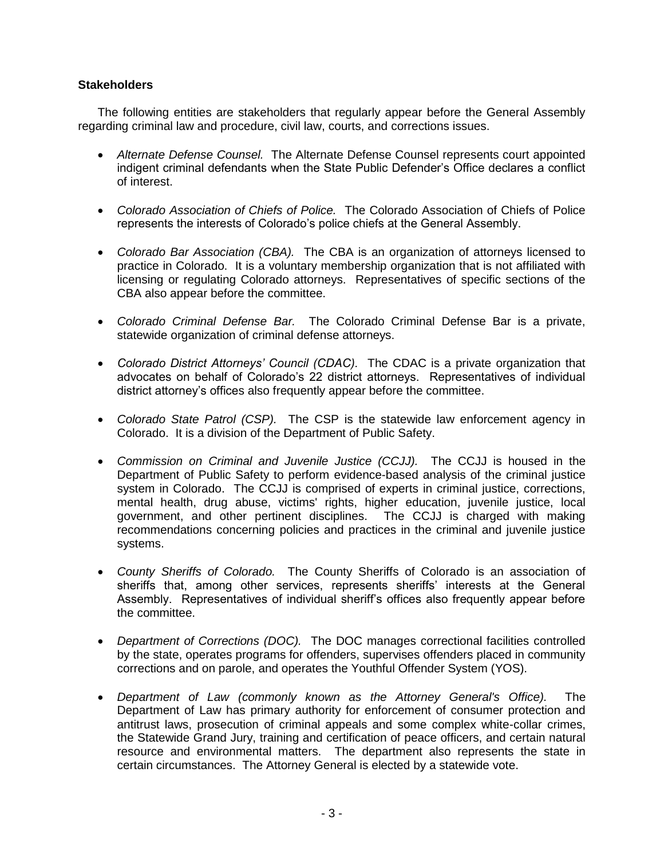# **Stakeholders**

The following entities are stakeholders that regularly appear before the General Assembly regarding criminal law and procedure, civil law, courts, and corrections issues.

- *Alternate Defense Counsel.* The Alternate Defense Counsel represents court appointed indigent criminal defendants when the State Public Defender's Office declares a conflict of interest.
- *Colorado Association of Chiefs of Police.* The Colorado Association of Chiefs of Police represents the interests of Colorado's police chiefs at the General Assembly.
- *Colorado Bar Association (CBA).* The CBA is an organization of attorneys licensed to practice in Colorado. It is a voluntary membership organization that is not affiliated with licensing or regulating Colorado attorneys. Representatives of specific sections of the CBA also appear before the committee.
- *Colorado Criminal Defense Bar.* The Colorado Criminal Defense Bar is a private, statewide organization of criminal defense attorneys.
- *Colorado District Attorneys' Council (CDAC).* The CDAC is a private organization that advocates on behalf of Colorado's 22 district attorneys. Representatives of individual district attorney's offices also frequently appear before the committee.
- *Colorado State Patrol (CSP).* The CSP is the statewide law enforcement agency in Colorado. It is a division of the Department of Public Safety.
- *Commission on Criminal and Juvenile Justice (CCJJ).* The CCJJ is housed in the Department of Public Safety to perform evidence-based analysis of the criminal justice system in Colorado. The CCJJ is comprised of experts in criminal justice, corrections, mental health, drug abuse, victims' rights, higher education, juvenile justice, local government, and other pertinent disciplines. The CCJJ is charged with making recommendations concerning policies and practices in the criminal and juvenile justice systems.
- *County Sheriffs of Colorado.* The County Sheriffs of Colorado is an association of sheriffs that, among other services, represents sheriffs' interests at the General Assembly. Representatives of individual sheriff's offices also frequently appear before the committee.
- *Department of Corrections (DOC).* The DOC manages correctional facilities controlled by the state, operates programs for offenders, supervises offenders placed in community corrections and on parole, and operates the Youthful Offender System (YOS).
- *Department of Law (commonly known as the Attorney General's Office).* The Department of Law has primary authority for enforcement of consumer protection and antitrust laws, prosecution of criminal appeals and some complex white-collar crimes, the Statewide Grand Jury, training and certification of peace officers, and certain natural resource and environmental matters. The department also represents the state in certain circumstances. The Attorney General is elected by a statewide vote.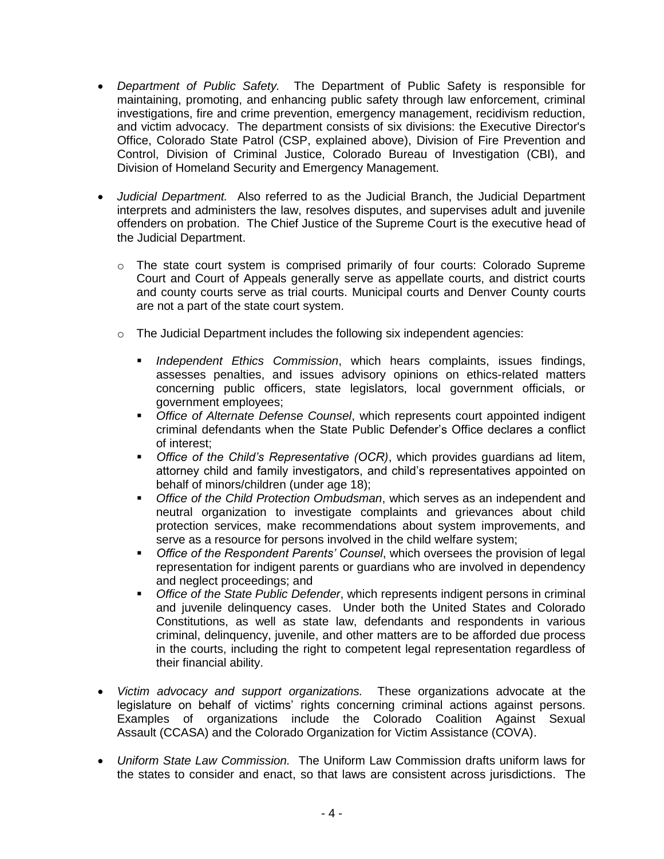- *Department of Public Safety.* The Department of Public Safety is responsible for maintaining, promoting, and enhancing public safety through law enforcement, criminal investigations, fire and crime prevention, emergency management, recidivism reduction, and victim advocacy. The department consists of six divisions: the Executive Director's Office, Colorado State Patrol (CSP, explained above), Division of Fire Prevention and Control, Division of Criminal Justice, Colorado Bureau of Investigation (CBI), and Division of Homeland Security and Emergency Management.
- *Judicial Department.* Also referred to as the Judicial Branch, the Judicial Department interprets and administers the law, resolves disputes, and supervises adult and juvenile offenders on probation. The Chief Justice of the Supreme Court is the executive head of the Judicial Department.
	- $\circ$  The state court system is comprised primarily of four courts: Colorado Supreme Court and Court of Appeals generally serve as appellate courts, and district courts and county courts serve as trial courts. Municipal courts and Denver County courts are not a part of the state court system.
	- o The Judicial Department includes the following six independent agencies:
		- *Independent Ethics Commission*, which hears complaints, issues findings, assesses penalties, and issues advisory opinions on ethics-related matters concerning public officers, state legislators, local government officials, or government employees;
		- *Office of Alternate Defense Counsel*, which represents court appointed indigent criminal defendants when the State Public Defender's Office declares a conflict of interest;
		- *Office of the Child's Representative (OCR)*, which provides guardians ad litem, attorney child and family investigators, and child's representatives appointed on behalf of minors/children (under age 18);
		- *Office of the Child Protection Ombudsman*, which serves as an independent and neutral organization to investigate complaints and grievances about child protection services, make recommendations about system improvements, and serve as a resource for persons involved in the child welfare system;
		- *Office of the Respondent Parents' Counsel*, which oversees the provision of legal representation for indigent parents or guardians who are involved in dependency and neglect proceedings; and
		- *Office of the State Public Defender*, which represents indigent persons in criminal and juvenile delinquency cases. Under both the United States and Colorado Constitutions, as well as state law, defendants and respondents in various criminal, delinquency, juvenile, and other matters are to be afforded due process in the courts, including the right to competent legal representation regardless of their financial ability.
- *Victim advocacy and support organizations.* These organizations advocate at the legislature on behalf of victims' rights concerning criminal actions against persons. Examples of organizations include the Colorado Coalition Against Sexual Assault (CCASA) and the Colorado Organization for Victim Assistance (COVA).
- *Uniform State Law Commission.* The Uniform Law Commission drafts uniform laws for the states to consider and enact, so that laws are consistent across jurisdictions. The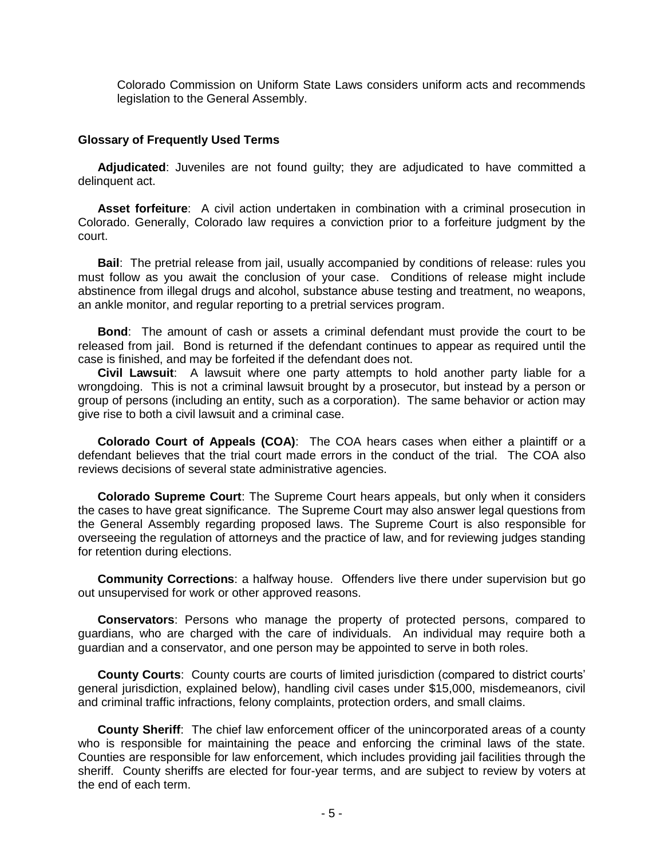Colorado Commission on Uniform State Laws considers uniform acts and recommends legislation to the General Assembly.

#### **Glossary of Frequently Used Terms**

**Adjudicated**: Juveniles are not found guilty; they are adjudicated to have committed a delinquent act.

**Asset forfeiture**: A civil action undertaken in combination with a criminal prosecution in Colorado. Generally, Colorado law requires a conviction prior to a forfeiture judgment by the court.

**Bail**: The pretrial release from jail, usually accompanied by conditions of release: rules you must follow as you await the conclusion of your case. Conditions of release might include abstinence from illegal drugs and alcohol, substance abuse testing and treatment, no weapons, an ankle monitor, and regular reporting to a pretrial services program.

**Bond**: The amount of cash or assets a criminal defendant must provide the court to be released from jail. Bond is returned if the defendant continues to appear as required until the case is finished, and may be forfeited if the defendant does not.

**Civil Lawsuit**: A lawsuit where one party attempts to hold another party liable for a wrongdoing. This is not a criminal lawsuit brought by a prosecutor, but instead by a person or group of persons (including an entity, such as a corporation). The same behavior or action may give rise to both a civil lawsuit and a criminal case.

**Colorado Court of Appeals (COA)**: The COA hears cases when either a plaintiff or a defendant believes that the trial court made errors in the conduct of the trial. The COA also reviews decisions of several state administrative agencies.

**Colorado Supreme Court**: The Supreme Court hears appeals, but only when it considers the cases to have great significance. The Supreme Court may also answer legal questions from the General Assembly regarding proposed laws. The Supreme Court is also responsible for overseeing the regulation of attorneys and the practice of law, and for reviewing judges standing for retention during elections.

**Community Corrections**: a halfway house. Offenders live there under supervision but go out unsupervised for work or other approved reasons.

**Conservators**: Persons who manage the property of protected persons, compared to guardians, who are charged with the care of individuals. An individual may require both a guardian and a conservator, and one person may be appointed to serve in both roles.

**County Courts**: County courts are courts of limited jurisdiction (compared to district courts' general jurisdiction, explained below), handling civil cases under \$15,000, misdemeanors, civil and criminal traffic infractions, felony complaints, protection orders, and small claims.

**County Sheriff**: The chief law enforcement officer of the unincorporated areas of a county who is responsible for maintaining the peace and enforcing the criminal laws of the state. Counties are responsible for law enforcement, which includes providing jail facilities through the sheriff. County sheriffs are elected for four-year terms, and are subject to review by voters at the end of each term.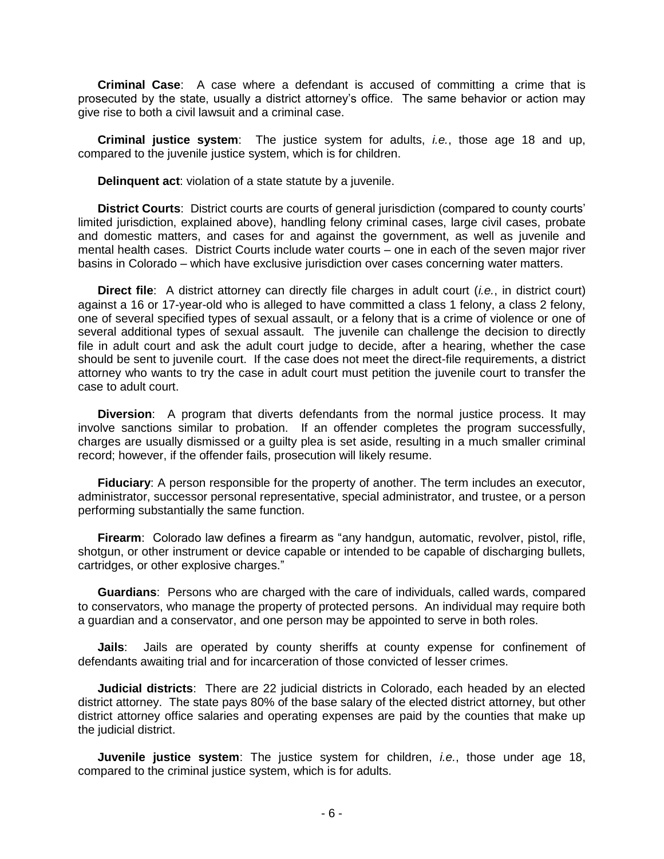**Criminal Case**: A case where a defendant is accused of committing a crime that is prosecuted by the state, usually a district attorney's office. The same behavior or action may give rise to both a civil lawsuit and a criminal case.

**Criminal justice system**: The justice system for adults, *i.e.*, those age 18 and up, compared to the juvenile justice system, which is for children.

**Delinquent act**: violation of a state statute by a juvenile.

**District Courts**: District courts are courts of general jurisdiction (compared to county courts' limited jurisdiction, explained above), handling felony criminal cases, large civil cases, probate and domestic matters, and cases for and against the government, as well as juvenile and mental health cases. District Courts include water courts – one in each of the seven major river basins in Colorado – which have exclusive jurisdiction over cases concerning water matters.

**Direct file**: A district attorney can directly file charges in adult court (*i.e.*, in district court) against a 16 or 17-year-old who is alleged to have committed a class 1 felony, a class 2 felony, one of several specified types of sexual assault, or a felony that is a crime of violence or one of several additional types of sexual assault. The juvenile can challenge the decision to directly file in adult court and ask the adult court judge to decide, after a hearing, whether the case should be sent to juvenile court. If the case does not meet the direct-file requirements, a district attorney who wants to try the case in adult court must petition the juvenile court to transfer the case to adult court.

**Diversion**: A program that diverts defendants from the normal justice process. It may involve sanctions similar to probation. If an offender completes the program successfully, charges are usually dismissed or a guilty plea is set aside, resulting in a much smaller criminal record; however, if the offender fails, prosecution will likely resume.

**Fiduciary**: A person responsible for the property of another. The term includes an executor, administrator, successor personal representative, special administrator, and trustee, or a person performing substantially the same function.

**Firearm**: Colorado law defines a firearm as "any handgun, automatic, revolver, pistol, rifle, shotgun, or other instrument or device capable or intended to be capable of discharging bullets, cartridges, or other explosive charges."

**Guardians**: Persons who are charged with the care of individuals, called wards, compared to conservators, who manage the property of protected persons. An individual may require both a guardian and a conservator, and one person may be appointed to serve in both roles.

**Jails**: Jails are operated by county sheriffs at county expense for confinement of defendants awaiting trial and for incarceration of those convicted of lesser crimes.

**Judicial districts**: There are 22 judicial districts in Colorado, each headed by an elected district attorney. The state pays 80% of the base salary of the elected district attorney, but other district attorney office salaries and operating expenses are paid by the counties that make up the judicial district.

**Juvenile justice system**: The justice system for children, *i.e.*, those under age 18, compared to the criminal justice system, which is for adults.